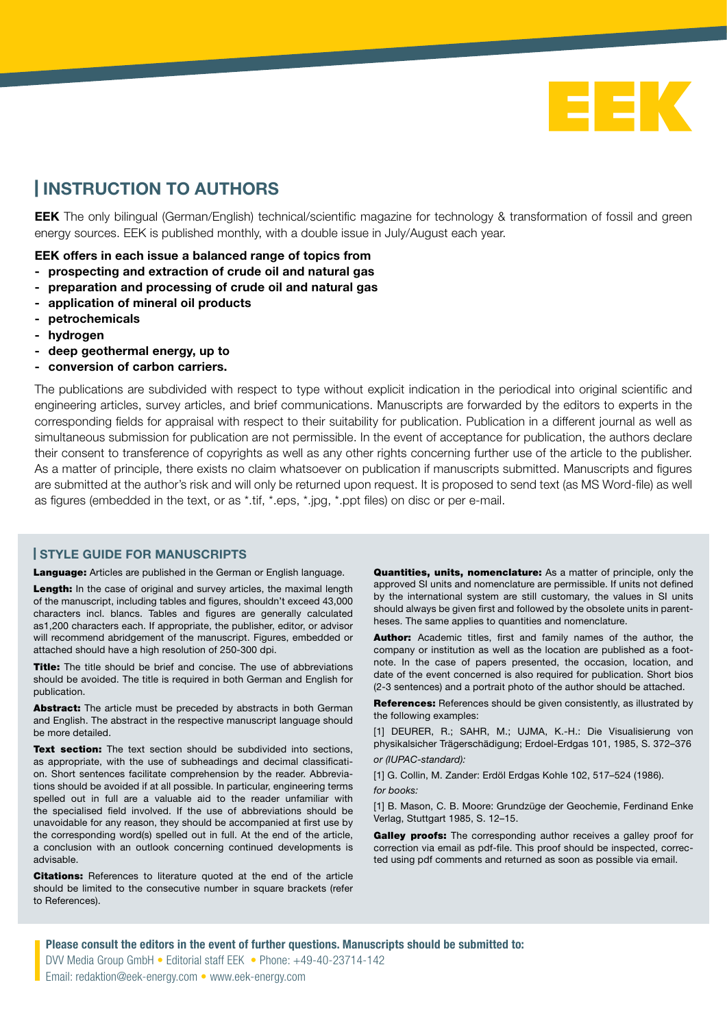

## | INSTRUCTION TO AUTHORS

EEK The only bilingual (German/English) technical/scientific magazine for technology & transformation of fossil and green energy sources. EEK is published monthly, with a double issue in July/August each year.

## EEK offers in each issue a balanced range of topics from

- prospecting and extraction of crude oil and natural gas
- preparation and processing of crude oil and natural gas
- application of mineral oil products
- petrochemicals
- hydrogen
- deep geothermal energy, up to
- conversion of carbon carriers.

The publications are subdivided with respect to type without explicit indication in the periodical into original scientific and engineering articles, survey articles, and brief communications. Manuscripts are forwarded by the editors to experts in the corresponding fields for appraisal with respect to their suitability for publication. Publication in a different journal as well as simultaneous submission for publication are not permissible. In the event of acceptance for publication, the authors declare their consent to transference of copyrights as well as any other rights concerning further use of the article to the publisher. As a matter of principle, there exists no claim whatsoever on publication if manuscripts submitted. Manuscripts and figures are submitted at the author's risk and will only be returned upon request. It is proposed to send text (as MS Word-file) as well as figures (embedded in the text, or as \*.tif, \*.eps, \*.jpg, \*.ppt files) on disc or per e-mail.

## | STYLE GUIDE FOR MANUSCRIPTS

Language: Articles are published in the German or English language.

Length: In the case of original and survey articles, the maximal length of the manuscript, including tables and figures, shouldn't exceed 43,000 characters incl. blancs. Tables and figures are generally calculated as1,200 characters each. If appropriate, the publisher, editor, or advisor will recommend abridgement of the manuscript. Figures, embedded or attached should have a high resolution of 250-300 dpi.

Title: The title should be brief and concise. The use of abbreviations should be avoided. The title is required in both German and English for publication.

Abstract: The article must be preceded by abstracts in both German and English. The abstract in the respective manuscript language should be more detailed.

Text section: The text section should be subdivided into sections, as appropriate, with the use of subheadings and decimal classification. Short sentences facilitate comprehension by the reader. Abbreviations should be avoided if at all possible. In particular, engineering terms spelled out in full are a valuable aid to the reader unfamiliar with the specialised field involved. If the use of abbreviations should be unavoidable for any reason, they should be accompanied at first use by the corresponding word(s) spelled out in full. At the end of the article, a conclusion with an outlook concerning continued developments is advisable.

**Citations:** References to literature quoted at the end of the article should be limited to the consecutive number in square brackets (refer to References).

**Quantities, units, nomenclature:** As a matter of principle, only the approved SI units and nomenclature are permissible. If units not defined by the international system are still customary, the values in SI units should always be given first and followed by the obsolete units in parentheses. The same applies to quantities and nomenclature.

Author: Academic titles, first and family names of the author, the company or institution as well as the location are published as a footnote. In the case of papers presented, the occasion, location, and date of the event concerned is also required for publication. Short bios (2-3 sentences) and a portrait photo of the author should be attached.

References: References should be given consistently, as illustrated by the following examples:

[1] DEURER, R.; SAHR, M.; UJMA, K.-H.: Die Visualisierung von physikalsicher Trägerschädigung; Erdoel-Erdgas 101, 1985, S. 372–376 *or (IUPAC-standard):* 

[1] G. Collin, M. Zander: Erdöl Erdgas Kohle 102, 517–524 (1986). *for books:*

[1] B. Mason, C. B. Moore: Grundzüge der Geochemie, Ferdinand Enke Verlag, Stuttgart 1985, S. 12–15.

Galley proofs: The corresponding author receives a galley proof for correction via email as pdf-file. This proof should be inspected, corrected using pdf comments and returned as soon as possible via email.

Please consult the editors in the event of further questions. Manuscripts should be submitted to: DVV Media Group GmbH • Editorial staff EEK • Phone: +49-40-23714-142 Email: redaktion@eek-energy.com • www.eek-energy.com